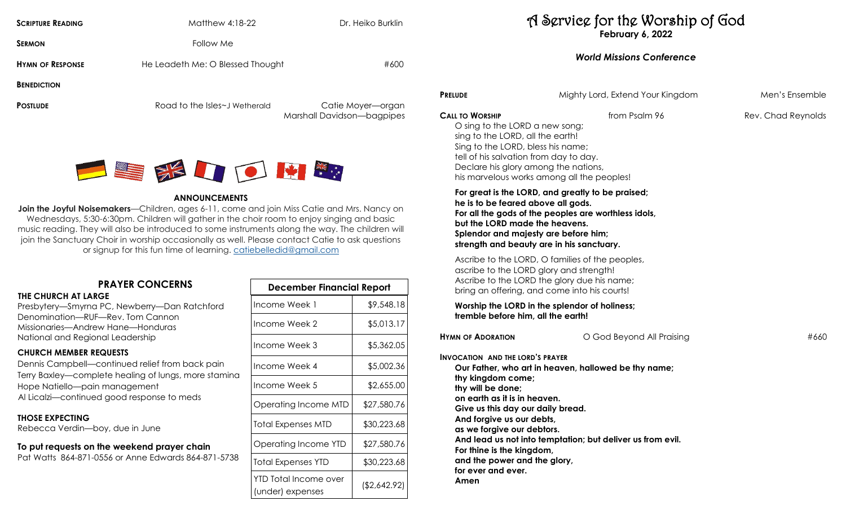| <b>SCRIPTURE READING</b> | Matthew 4:18-22                  | Dr. Heiko Burklin                               |                                          |
|--------------------------|----------------------------------|-------------------------------------------------|------------------------------------------|
| <b>SERMON</b>            | Follow Me                        |                                                 |                                          |
| <b>HYMN OF RESPONSE</b>  | He Leadeth Me: O Blessed Thought | #600                                            |                                          |
| <b>BENEDICTION</b>       |                                  |                                                 |                                          |
| <b>POSTLUDE</b>          | Road to the Isles~J Wetherald    | Catie Moyer-organ<br>Marshall Davidson-bagpipes | <b>PRELUDE</b><br><b>CALL TO WORSHIP</b> |



#### **ANNOUNCEMENTS**

**Join the Joyful Noisemakers**—Children, ages 6-11, come and join Miss Catie and Mrs. Nancy on Wednesdays, 5:30-6:30pm. Children will gather in the choir room to enjoy singing and basic music reading. They will also be introduced to some instruments along the way. The children will join the Sanctuary Choir in worship occasionally as well. Please contact Catie to ask questions or signup for this fun time of learning. [catiebelledid@gmail.com](mailto:catiebelledid@gmail.com)

## **PRAYER CONCERNS**

**THE CHURCH AT LARGE** 

Presbytery—Smyrna PC, Newberry—Dan Ratchford Denomination—RUF—Rev. Tom Cannon Missionaries—Andrew Hane—Honduras National and Regional Leadership

### **CHURCH MEMBER REQUESTS**

Dennis Campbell—continued relief from back pain Terry Baxley—complete healing of lungs, more stamina Hope Natiello—pain management Al Licalzi—continued good response to meds

#### **THOSE EXPECTING**

Rebecca Verdin—boy, due in June

# **To put requests on the weekend prayer chain**

Pat Watts 864-871-0556 or Anne Edwards 864-871-5738

| <b>December Financial Report</b>          |              |  |
|-------------------------------------------|--------------|--|
| Income Week 1                             | \$9,548.18   |  |
| Income Week 2                             | \$5,013.17   |  |
| Income Week 3                             | \$5,362.05   |  |
| Income Week 4                             | \$5,002.36   |  |
| Income Week 5                             | \$2,655.00   |  |
| Operating Income MTD                      | \$27,580.76  |  |
| Total Expenses MTD                        | \$30,223.68  |  |
| Operating Income YTD                      | \$27,580.76  |  |
| <b>Total Expenses YTD</b>                 | \$30,223.68  |  |
| YTD Total Income over<br>(under) expenses | (\$2,642.92) |  |

## A Service for the Worship of God **February 6, 2022**

## *World Missions Conference*

| from Psalm 96<br>O sing to the LORD a new song;                                                                                                                                                                                                                        | Rev. Chad Reynolds |
|------------------------------------------------------------------------------------------------------------------------------------------------------------------------------------------------------------------------------------------------------------------------|--------------------|
| sing to the LORD, all the earth!<br>Sing to the LORD, bless his name;<br>tell of his salvation from day to day.<br>Declare his glory among the nations,<br>his marvelous works among all the peoples!                                                                  |                    |
| For great is the LORD, and greatly to be praised;<br>he is to be feared above all gods.<br>For all the gods of the peoples are worthless idols,<br>but the LORD made the heavens.<br>Splendor and majesty are before him;<br>strength and beauty are in his sanctuary. |                    |
| Ascribe to the LORD, O families of the peoples,<br>ascribe to the LORD glory and strength!<br>Ascribe to the LORD the glory due his name;<br>bring an offering, and come into his courts!                                                                              |                    |
| Worship the LORD in the splendor of holiness;<br>tremble before him, all the earth!                                                                                                                                                                                    |                    |
| O God Beyond All Praising                                                                                                                                                                                                                                              | #660               |
| <b>INVOCATION AND THE LORD'S PRAYER</b><br>Our Father, who art in heaven, hallowed be thy name;<br>on earth as it is in heaven.<br>Give us this day our daily bread.                                                                                                   |                    |
|                                                                                                                                                                                                                                                                        |                    |

**For thine is the kingdom,**

**and the power and the glory,**

**for ever and ever.**

**Amen**